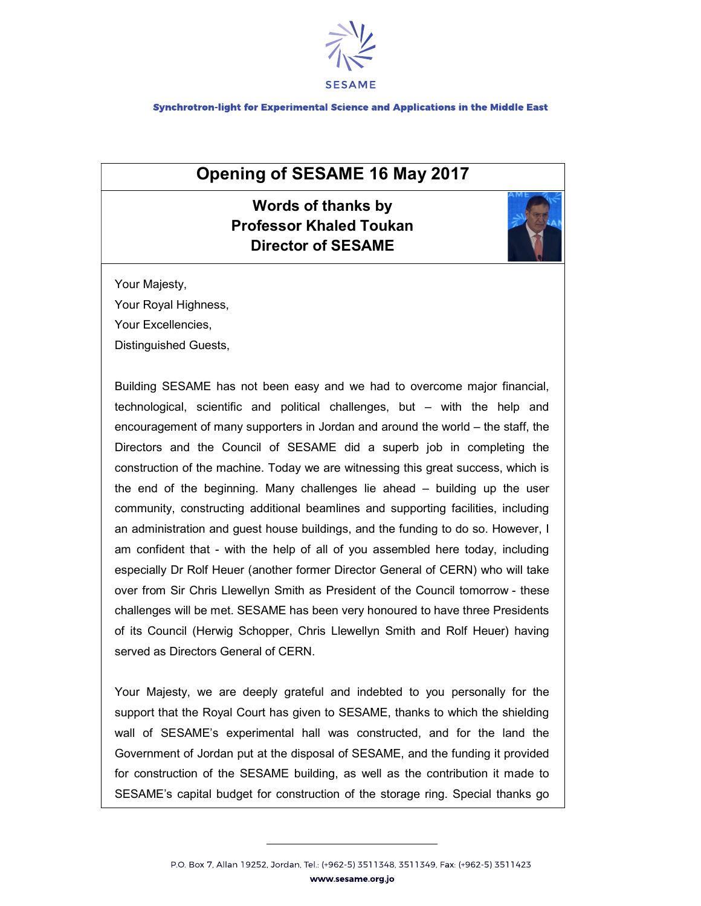

Synchrotron-light for Experimental Science and Applications in the Middle East

## Opening of SESAME 16 May 2017

## Words of thanks by Professor Khaled Toukan Director of SESAME



Your Majesty,

Your Royal Highness,

Your Excellencies,

Distinguished Guests,

Building SESAME has not been easy and we had to overcome major financial, technological, scientific and political challenges, but – with the help and encouragement of many supporters in Jordan and around the world – the staff, the Directors and the Council of SESAME did a superb job in completing the construction of the machine. Today we are witnessing this great success, which is the end of the beginning. Many challenges lie ahead – building up the user community, constructing additional beamlines and supporting facilities, including an administration and guest house buildings, and the funding to do so. However, I am confident that - with the help of all of you assembled here today, including especially Dr Rolf Heuer (another former Director General of CERN) who will take over from Sir Chris Llewellyn Smith as President of the Council tomorrow - these challenges will be met. SESAME has been very honoured to have three Presidents of its Council (Herwig Schopper, Chris Llewellyn Smith and Rolf Heuer) having served as Directors General of CERN.

Your Majesty, we are deeply grateful and indebted to you personally for the support that the Royal Court has given to SESAME, thanks to which the shielding wall of SESAME's experimental hall was constructed, and for the land the Government of Jordan put at the disposal of SESAME, and the funding it provided for construction of the SESAME building, as well as the contribution it made to SESAME's capital budget for construction of the storage ring. Special thanks go